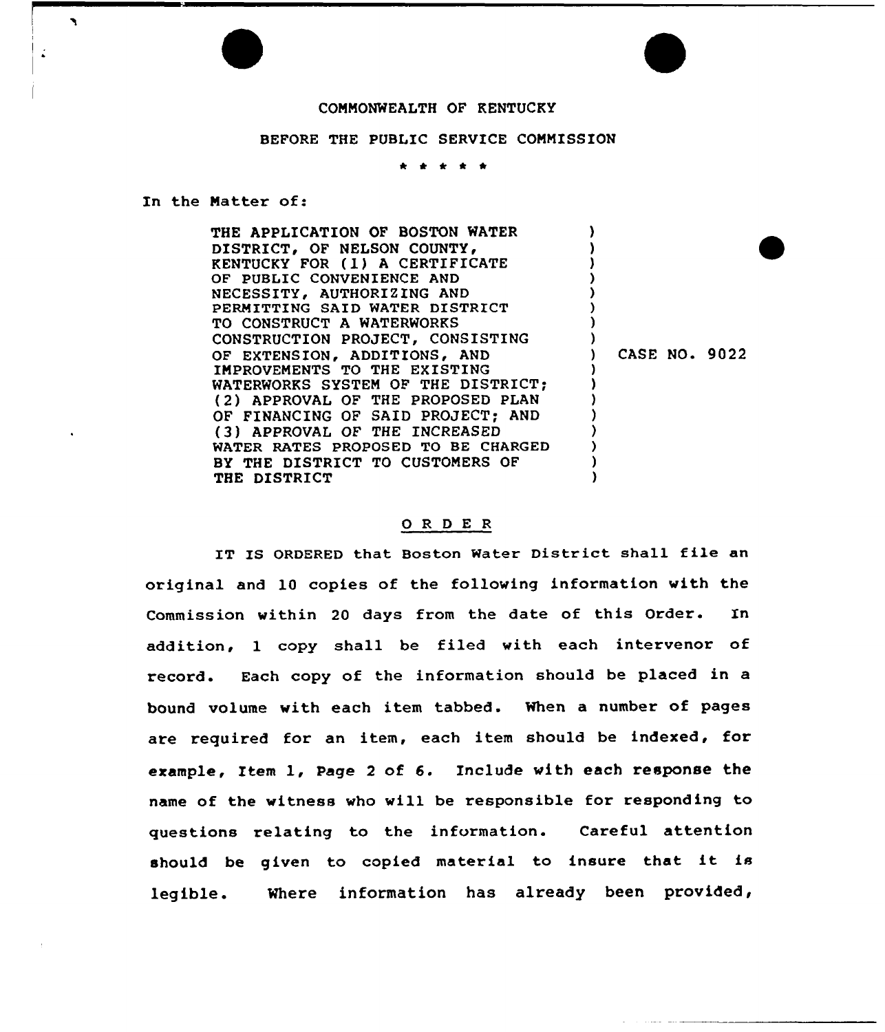## COMMONWEALTH OF KENTUCKY

## BEFORE THE PUBLIC SERVICE COMMISSION

<sup>k</sup> <sup>4</sup> \* \*

In the Matter of:

 $\mathbf{A}$ 

| THE APPLICATION OF BOSTON WATER       |                      |  |
|---------------------------------------|----------------------|--|
| DISTRICT, OF NELSON COUNTY,           |                      |  |
| <b>RENTUCKY FOR (1) A CERTIFICATE</b> |                      |  |
| OF PUBLIC CONVENIENCE AND             |                      |  |
| NECESSITY, AUTHORIZING AND            |                      |  |
| PERMITTING SAID WATER DISTRICT        |                      |  |
| TO CONSTRUCT A WATERWORKS             |                      |  |
| CONSTRUCTION PROJECT, CONSISTING      |                      |  |
| OF EXTENSION, ADDITIONS, AND          | <b>CASE NO. 9022</b> |  |
| IMPROVEMENTS TO THE EXISTING          |                      |  |
| WATERWORKS SYSTEM OF THE DISTRICT:    |                      |  |
| (2) APPROVAL OF THE PROPOSED PLAN     |                      |  |
| OF FINANCING OF SAID PROJECT: AND     |                      |  |
| (3) APPROVAL OF THE INCREASED         |                      |  |
| WATER RATES PROPOSED TO BE CHARGED    |                      |  |
| BY THE DISTRICT TO CUSTOMERS OF       |                      |  |
| THE DISTRICT                          |                      |  |

## 0 <sup>R</sup> <sup>D</sup> E <sup>R</sup>

IT IS ORDERED that Boston Water District shall file an original and 10 copies of the following information with the Commission within 20 days from the date of this Order. In addition, 1 copy shall be filed with each intervenor of record. Each copy of the information should be placed in a bound volume with each item tabbed. When a number of pages are required for an item, each item should be indexed, for example, Item 1, Page 2 of 6. Include with each response the name of the witness who will be responsible for responding to questions relating to the information. Careful attention should be given to copied material to insure that it is legible. Where information has already been provided,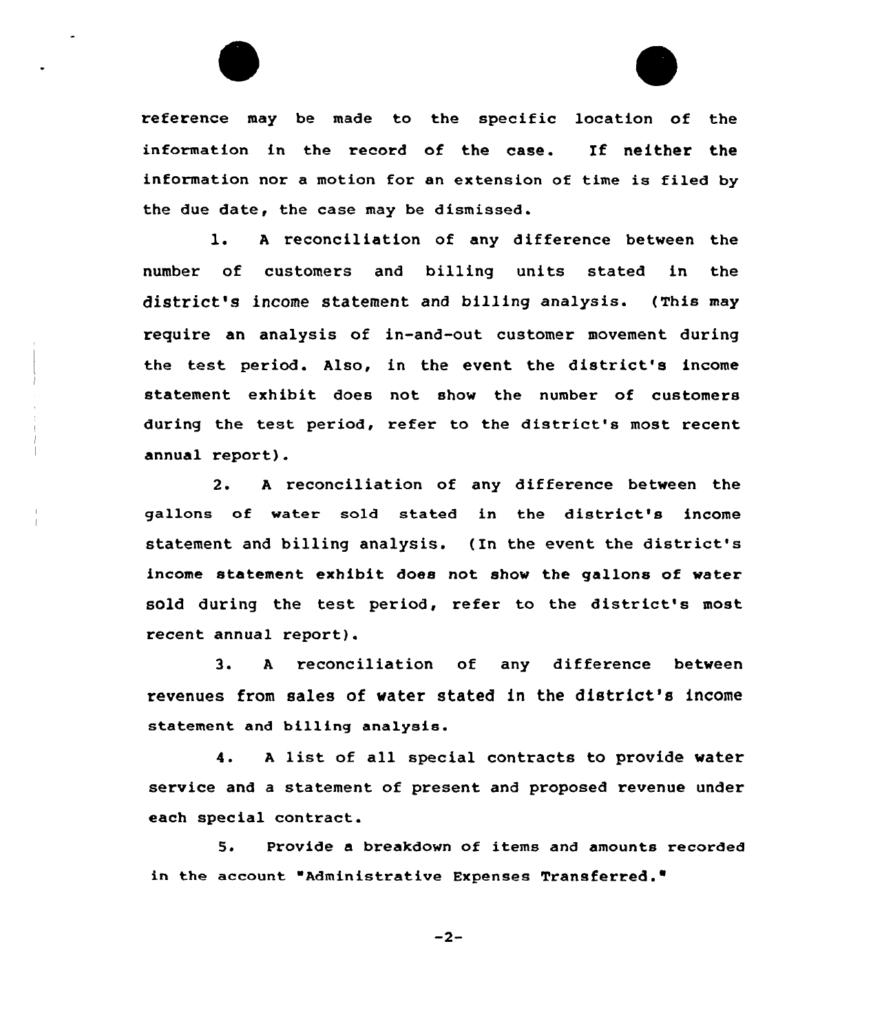

l. <sup>A</sup> reconciliation of any difference between the number of customers and billing units stated in the district's income statement and billing analysis. (This may require an analysis of in-and-out customer movement during the test period. Also, in the event the district's income statement exhibit does not show the number of customers during the test period, refer to the district's most recent annual report).

2. <sup>A</sup> reconciliation of any difference between the gallons of water sold stated in the district's income statement and billing analysis. (In the event the district's income statement exhibit does not show the gallons of water sold during the test period, refer to the district's most recent annual report).

3. <sup>A</sup> reconciliation of any difference between revenues from sales of water stated in the district's income statement and billing analysis.

4. <sup>A</sup> list of all special contracts to provide water service and a statement of present and proposed revenue under each special contract.

5 <sup>~</sup> Provide a breakdown of items and amounts recorded in the account "Administrative Expenses Transferred."

 $-2-$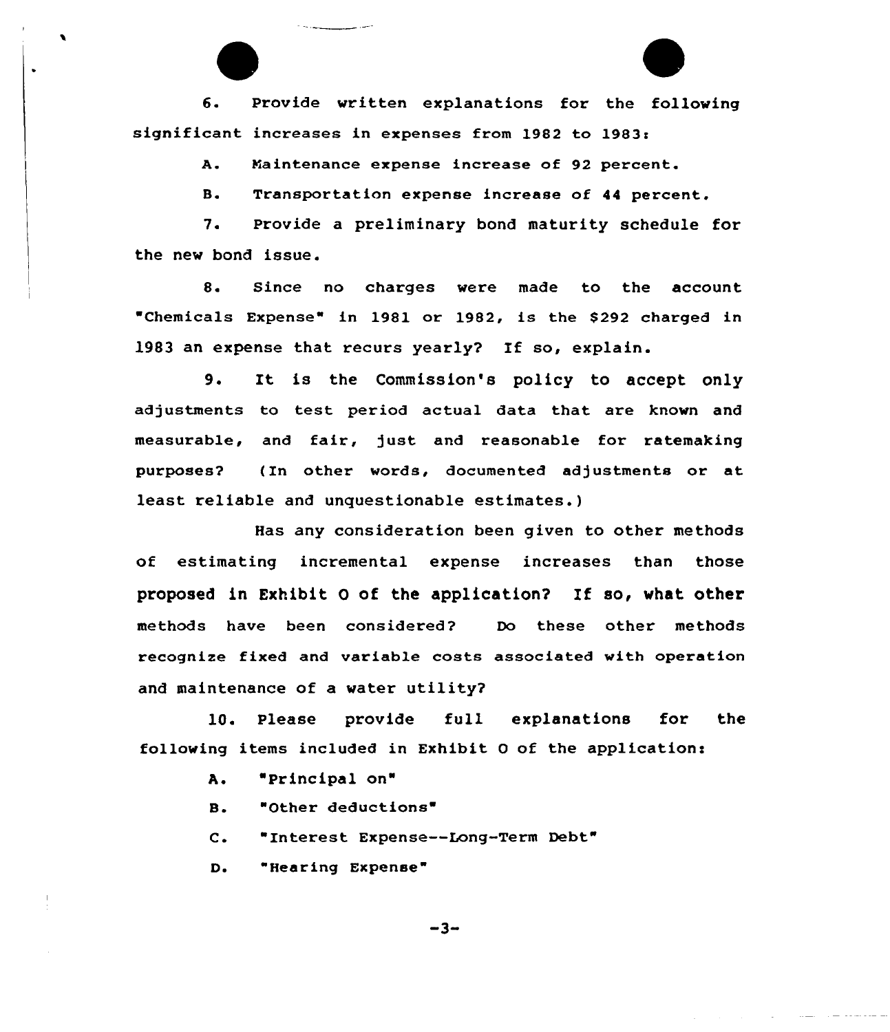6. Provide written explanations for the following significant increases in expenses from 1982 to 1983'.

> Maintenance expense increase of 92 percent. A.

B. Transportation expense increase of 44 percent.

7. Provide a preliminary bond maturity schedule for the new bond issue.

8. Since no charges were made to the account "Chemicals Expense" in 1981 or 1982, is the \$292 charged in 1983 an expense that recurs yearly? If so, explain.

9. It is the Commission's policy to accept only adjustments to test period actual data that are known and measurable, and fair, just and reasonable for ratemaking purposes? (In other words, documented adjustments or at least reliable and unquestionable estimates.)

Has any consideration been given to other methods of estimating incremental expense increases than those proposed in Exhibit 0 of the application? Xf so, what other methods have been considered? Do these other methods recognize fixed and variable costs associated with operation and maintenance of a water utility?

10. Please provide full explanations for the following items included in Exhibit 0 of the applicationi

> A. 'Principal on"

**B.** "Other deductions

C. "Interest Expense--Long-Term Debt"

Do "Hearing Expense

 $-3-$